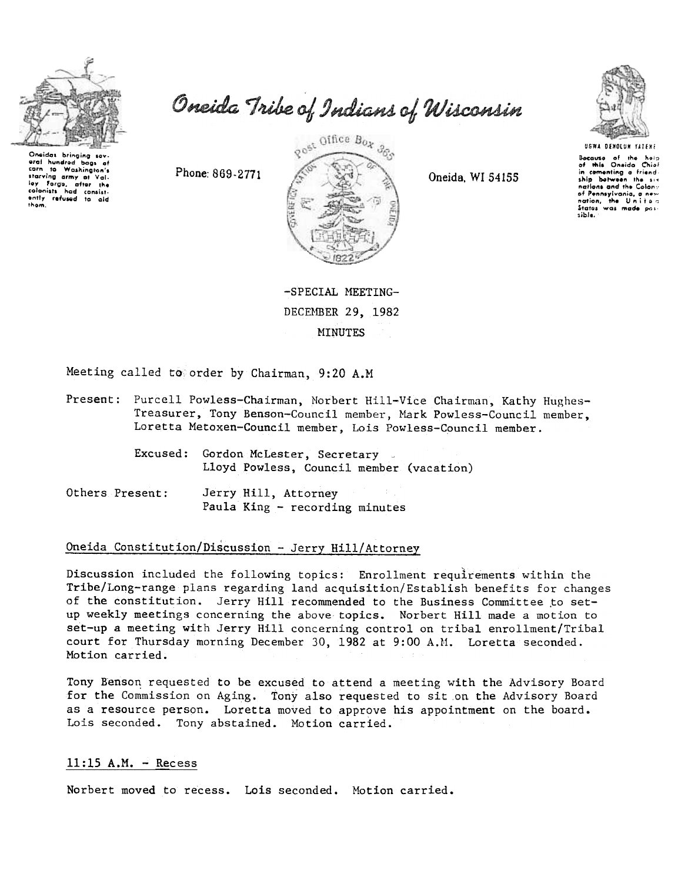

Oneidas bringing sev eral hundred bags  $-4$ tion to Washington's<br>starving army of Valiley Forgo, after the<br>colonists had consist-<br>enling the colonists had consist-<br>enling refused to aid<br>them. to Washington's corn

Oneida Tribe of Indians of Wisconsin

gost Office Box 3go 13.45

Oneida, WI 54155



Bocause of the holp<br>of this Oneida Chief in comenting a friendnations and the Colony of Pennsylvania, a nex nation, the United<br>States was made possible.

-SPECIAL MEETING-DECEMBER 29, 1982 **MINUTES** 

Meeting called to order by Chairman, 9:20 A.M

Phone: 869-2771

- Present: Purcell Powless-Chairman, Norbert Hill-Vice Chairman, Kathy Hughes-Treasurer, Tony Benson-Council member, Mark Powless-Council member, Loretta Metoxen-Council member, Lois Powless-Council member.
	- Excused: Gordon McLester, Secretary Lloyd Powless, Council member (vacation)
- Others Present: Jerry Hill, Attorney Paula King - recording minutes

### Oneida Constitution/Discussion - Jerry Hill/Attorney

Discussion included the following topics: Enrollment requirements within the Tribe/Long-range plans regarding land acquisition/Establish benefits for changes of the constitution. Jerry Hill recommended to the Business Committee to setup weekly meetings concerning the above topics. Norbert Hill made a motion to set-up a meeting with Jerry Hill concerning control on tribal enrollment/Tribal court for Thursday morning December 30, 1982 at 9:00 A.M. Loretta seconded. Motion carried.

Tony Benson requested to be excused to attend a meeting with the Advisory Board for the Commission on Aging. Tony also requested to sit on the Advisory Board as a resource person. Loretta moved to approve his appointment on the board. Lois seconded. Tony abstained. Motion carried.

#### $11:15$  A.M. - Recess

Norbert moved to recess. Lois seconded. Motion carried.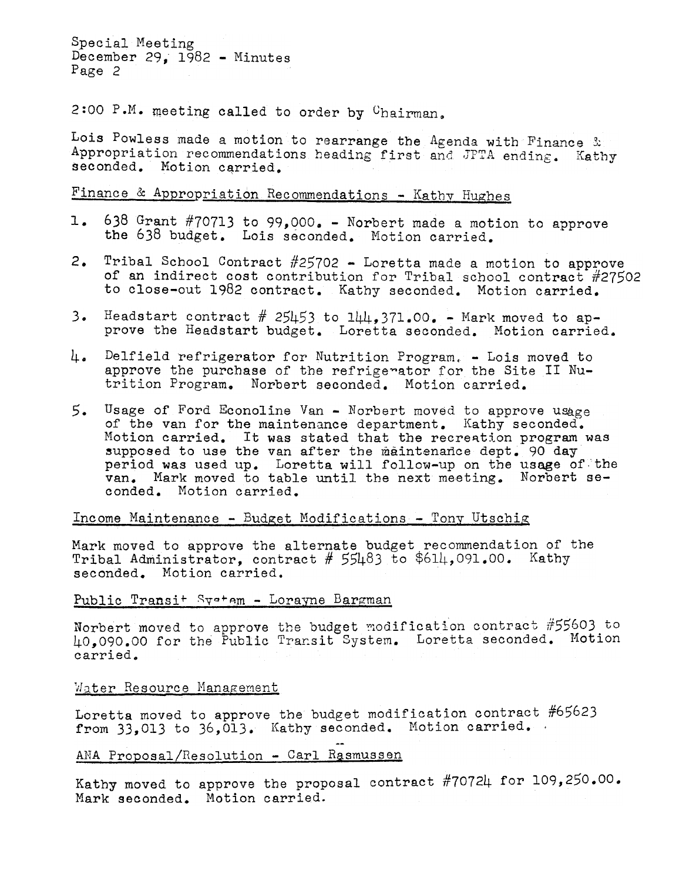Special Meeting December 29,  $1982$  - Minutes Page 2

2:00 P.M. meeting called to order by  $C$ hairman.

Lois Powless made a motion to rearrange the Agenda with Finance & Appropriation recommendations heading first and JPTA ending. Kathy seconded. Motion carried.

# $F$ inance & Appropriation Recommendations - Kathy Hughes

- 638 Grant #70713 to 99,000. -Norbert made a motion to approve the 638 budget. Lois seconded. Motion carried.
- 2. Tribal School Contract  $#25702 -$  Loretta made a motion to approve of an indirect cost contribution for Tribal school contract #27502 to close-out 1982 contract. Kathy seconded. Motion carried.
- 3. Headstart contract  $#$  25453 to  $144,371.00$ . Mark moved to ap-<br>prove the Headstart budget. Loretta seconded. Motion carried.
- 4. Delfield refrigerator for Nutrition Program. -Lois moved to approve the purchase of the refrige ator for the Site II Nutrition Program. Norbert seconded. Motion carried.
- 3. Headstart contract  $\#$  25453 to 144,371.00. Merk moved to ap-<br>prove the fleadstart budget. Loretts seconded. Notice carrier<br>i. Contract a expression for Nutrition Program. Lois moved to<br>this approximate of the par 5. Usage of Ford Econoline Van - Norbert moved to approve usage<br>of the van for the maintenance department. Kathy seconded.<br>Motion carried, It was stated that the recention program<br>period was used up. Loretta will follow-u of the van for the maintenance department. Kathy seconded. Motion carried. It was stated that the recreation program was supposed to use the van after the maintenance dept. 90 day period was used up. Loretta will follow-up on the usage of the van. Mark moved to table until the next meeting. Norbert seconded. Motion carried.

# Income Maintenance - Budget Modifications - Tony Utschig

Mark moved to approve the alternate budget recommendation of th  $\mathtt{Tribal}$  Administrator, contract # 55483 to \$614,091.00. Kath seconded. Motion carried.

# Public Transi<sup>+</sup> Sy<sup>-+</sup>Am - Lorayne Bargman

Norbert moved to approve the budget modification contract  $#55603$  to 40.090.00 for the Public Transit System. Loretta seconded. Motion

# Water Resource Management

Loretta moved to approve the budget modification contract  $#65623$ from 33,013 to 36,013. Kathy seconded. Motion carried.

# ANA Proposal/Resolution - Carl Rasmussen

Kathy moved to approve the proposal contract #70724 for 109,250.00. Mark seconded. Motion carried.